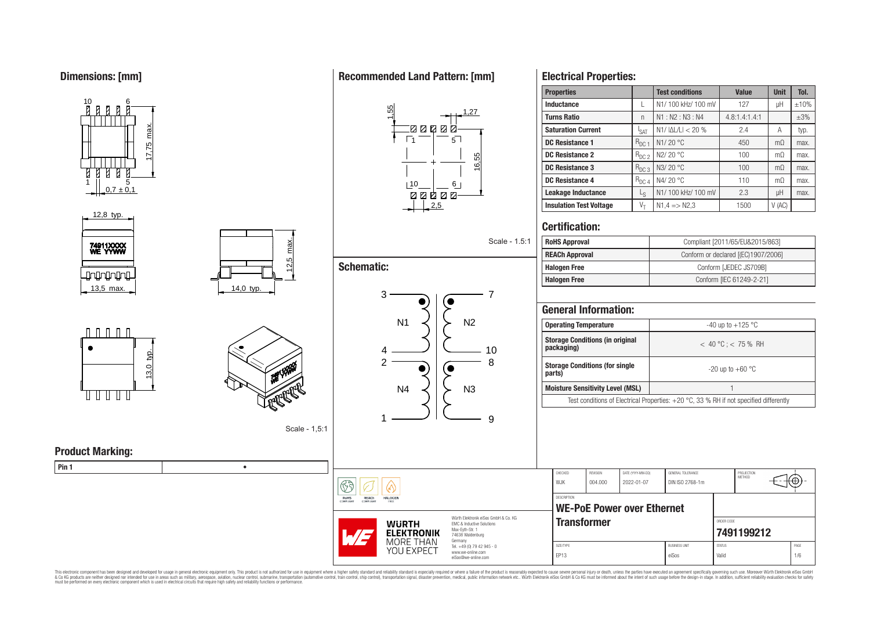**Dimensions: [mm]**











Scale - 1,5:1

**Product Marking:**

**Pin 1** •

# **Recommended Land Pattern: [mm]**

 $\mathbb{Q}$ 

**HALOGEN** 

**B** 

RoHS<br>COMPLIANT

REACH



|                     |                | ovuiv   | $\cdots$ |
|---------------------|----------------|---------|----------|
| <b>Schematic:</b>   |                |         |          |
| 3                   |                | 7       |          |
| N <sub>1</sub>      | N <sub>2</sub> |         |          |
| 4<br>$\overline{2}$ |                | 10<br>8 |          |
| N <sub>4</sub>      | N <sub>3</sub> |         |          |
|                     |                | 9       |          |

Scale - 1.5:1

## **Electrical Properties:**

| <b>Properties</b>              |                  | <b>Test conditions</b>  | <b>Value</b>  | <b>Unit</b>    | Tol.      |  |
|--------------------------------|------------------|-------------------------|---------------|----------------|-----------|--|
| Inductance                     |                  | N1/100 kHz/100 mV       | 127           | μH             | ±10%      |  |
| <b>Turns Ratio</b>             | n                | N1: N2: N3: N4          | 4.8:1.4:1.4:1 |                | $\pm 3\%$ |  |
| <b>Saturation Current</b>      | <sup>I</sup> SAT | $N1/ \Delta L/L  < 20%$ | 2.4           | Α              | typ.      |  |
| <b>DC Resistance 1</b>         | $R_{DC}$ 1       | N1/20 °C                | 450           | m <sub>0</sub> | max.      |  |
| DC Resistance 2                | $R_{DC2}$        | N2/20 °C                | 100           | m <sub>0</sub> | max.      |  |
| DC Resistance 3                | $R_{DC3}$        | N3/20 °C                | 100           | m <sub>O</sub> | max.      |  |
| <b>DC Resistance 4</b>         | $R_{DC,4}$       | N4/20 °C                | 110           | m <sub>0</sub> | max.      |  |
| Leakage Inductance             | Ls               | N1/100 kHz/100 mV       | 2.3           | μH             | max.      |  |
| <b>Insulation Test Voltage</b> | $V_{\rm T}$      | $N1.4 = N2.3$           | 1500          | V(AC)          |           |  |

## **Certification:**

| <b>RoHS Approval</b>  | Compliant [2011/65/EU&2015/863]     |
|-----------------------|-------------------------------------|
| <b>REACh Approval</b> | Conform or declared [(EC)1907/2006] |
| <b>Halogen Free</b>   | Conform [JEDEC JS709B]              |
| <b>Halogen Free</b>   | Conform [IEC 61249-2-21]            |

| <b>General Information:</b>                                                              |                         |  |  |  |  |  |  |  |
|------------------------------------------------------------------------------------------|-------------------------|--|--|--|--|--|--|--|
| <b>Operating Temperature</b>                                                             | -40 up to $+125$ °C     |  |  |  |  |  |  |  |
| <b>Storage Conditions (in original</b><br>packaging)                                     | $<$ 40 °C : $<$ 75 % RH |  |  |  |  |  |  |  |
| <b>Storage Conditions (for single</b><br>parts)                                          | $-20$ up to $+60$ °C    |  |  |  |  |  |  |  |
| <b>Moisture Sensitivity Level (MSL)</b>                                                  |                         |  |  |  |  |  |  |  |
| Test conditions of Electrical Properties: $+20$ °C, 33 % RH if not specified differently |                         |  |  |  |  |  |  |  |
|                                                                                          |                         |  |  |  |  |  |  |  |



This electronic component has been designed and developed for usage in general electronic equipment only. This product is not authorized for subserved requipment where a higher selection equipment where a higher selection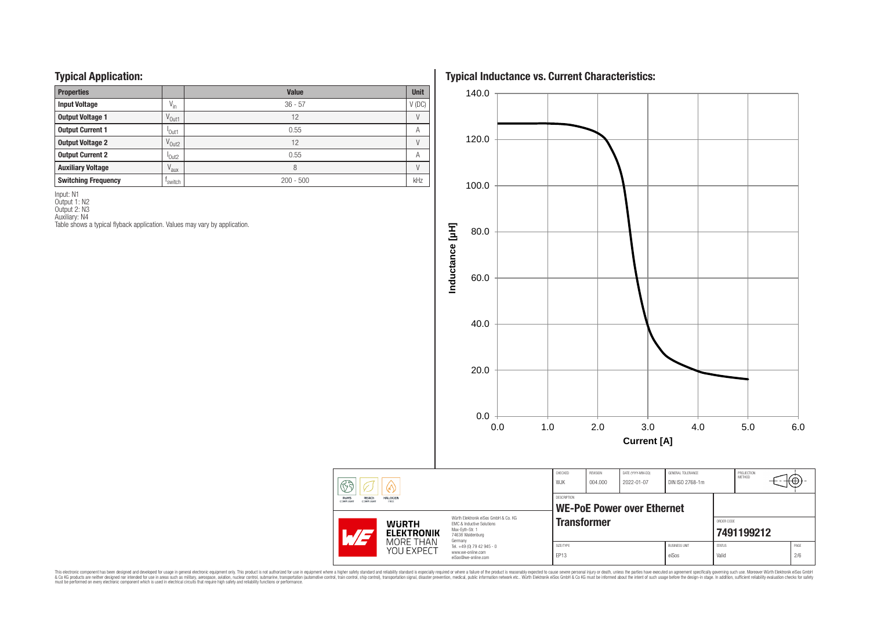## **Typical Application:**

| . .<br>. .                 |                               |              |             |
|----------------------------|-------------------------------|--------------|-------------|
| <b>Properties</b>          |                               | <b>Value</b> | <b>Unit</b> |
| <b>Input Voltage</b>       | $V_{in}$                      | $36 - 57$    | $V$ (DC)    |
| <b>Output Voltage 1</b>    | V <sub>Out1</sub>             | 12           |             |
| <b>Output Current 1</b>    | <sup>'</sup> Out1             | 0.55         | Α           |
| <b>Output Voltage 2</b>    | V <sub>Out2</sub>             | 12           |             |
| <b>Output Current 2</b>    | <sup>l</sup> Out <sub>2</sub> | 0.55         | Α           |
| <b>Auxiliary Voltage</b>   | $V_{\text{aux}}$              | 8            |             |
| <b>Switching Frequency</b> | 'switch                       | $200 - 500$  | kHz         |

Input: N1 Output 1: N2

Output 2: N3

Auxiliary: N4

Table shows a typical flyback application. Values may vary by application.

**Typical Inductance vs. Current Characteristics:**



This electronic component has been designed and developed for usage in general electronic equipment only. This product is not authorized for subserved requipment where a higher selection equipment where a higher selection

 $\circled{f}$ 

RoHS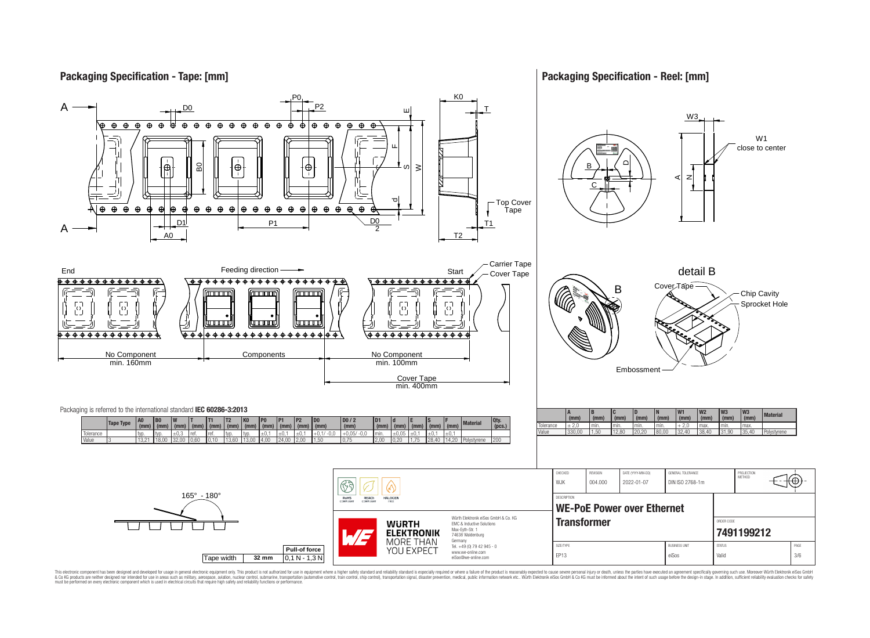**Packaging Specification - Tape: [mm]**

**Packaging Specification - Reel: [mm]**



This electronic component has been designed and developed for usage in general electronic equipment only. This product is not authorized for use in equipment where a higher safely standard and reliability standard si espec & Ook product a label and the membed of the seasuch as marked and as which such a membed and the such assume that income in the seasuch and the simulation and the such assume that include to the such a membed and the such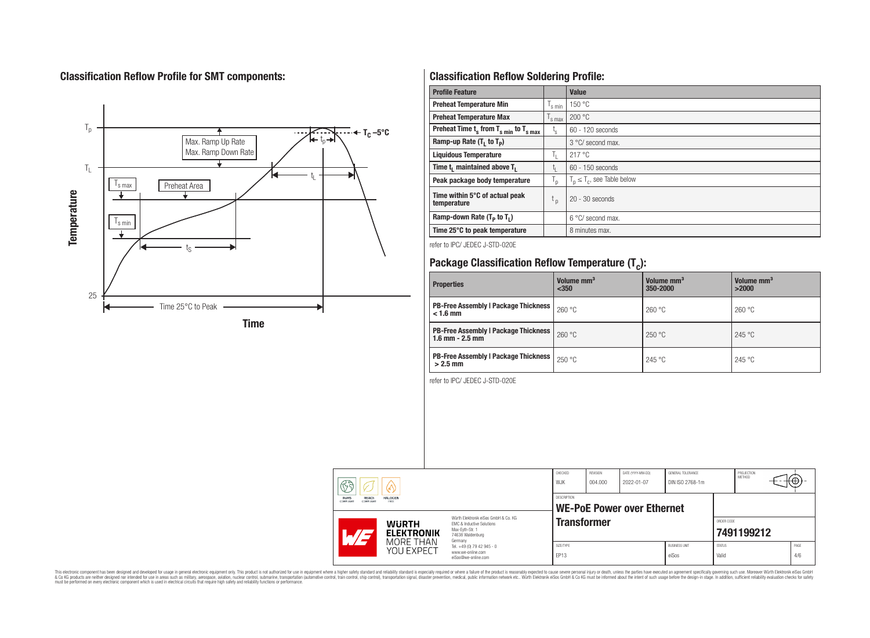# **Classification Reflow Profile for SMT components:**



# **Classification Reflow Soldering Profile:**

| <b>Profile Feature</b>                              |                           | Value                            |
|-----------------------------------------------------|---------------------------|----------------------------------|
| <b>Preheat Temperature Min</b>                      | s min                     | 150 °C                           |
| <b>Preheat Temperature Max</b>                      | <sup>I</sup> s max        | 200 °C                           |
| Preheat Time $t_s$ from $T_{s,min}$ to $T_{s,max}$  | $t_{\rm s}$               | $60 - 120$ seconds               |
| Ramp-up Rate $(T_1$ to $T_p$ )                      |                           | 3 °C/ second max.                |
| <b>Liquidous Temperature</b>                        | Ъ.                        | 217°C                            |
| Time t <sub>1</sub> maintained above T <sub>1</sub> | t,                        | $60 - 150$ seconds               |
| Peak package body temperature                       | $\mathsf{I}_{\mathsf{D}}$ | $T_p \leq T_c$ , see Table below |
| Time within 5°C of actual peak<br>temperature       | t <sub>p</sub>            | $20 - 30$ seconds                |
| Ramp-down Rate $(T_p$ to $T_1$ )                    |                           | 6 °C/ second max.                |
| Time 25°C to peak temperature                       |                           | 8 minutes max.                   |

refer to IPC/ JEDEC J-STD-020E

# **Package Classification Reflow Temperature (T<sup>c</sup> ):**

| <b>Properties</b>                                                    | Volume mm <sup>3</sup><br>$350$ | Volume mm <sup>3</sup><br>350-2000 | Volume mm <sup>3</sup><br>>2000 |
|----------------------------------------------------------------------|---------------------------------|------------------------------------|---------------------------------|
| <b>PB-Free Assembly   Package Thickness</b><br>$< 1.6$ mm            | 260 °C                          | 260 °C                             | 260 °C                          |
| <b>PB-Free Assembly   Package Thickness  </b><br>$1.6$ mm $- 2.5$ mm | 260 °C                          | 250 °C                             | 245 °C                          |
| <b>PB-Free Assembly   Package Thickness  </b><br>$>2.5$ mm           | 250 °C                          | 245 °C                             | 245 °C                          |

refer to IPC/ JEDEC J-STD-020E

|                                                | MORE THAN<br>YOU EXPECT | Germany<br>Tel. +49 (0) 79 42 945 - 0<br>www.we-online.com<br>eiSos@we-online.com                        | SIZE/TYPE<br>EP13     |                     |                                 | <b>BUSINESS UNIT</b><br>eiSos        | <b>STATUS</b><br>Valid   |                      |                  | PAGE<br>4/6 |
|------------------------------------------------|-------------------------|----------------------------------------------------------------------------------------------------------|-----------------------|---------------------|---------------------------------|--------------------------------------|--------------------------|----------------------|------------------|-------------|
| <b>WURTH</b><br><b>ELEKTRONIK</b>              |                         | Würth Elektronik eiSos GmbH & Co. KG<br>EMC & Inductive Solutions<br>Max-Evth-Str. 1<br>74638 Waldenburg | <b>Transformer</b>    |                     |                                 |                                      | ORDER CODE<br>7491199212 |                      |                  |             |
| RoHS<br>REACh<br>COMPLIANT<br><b>COMPLIANT</b> | <b>HALOGEN</b><br>FREE  |                                                                                                          | DESCRIPTION           |                     | WE-PoE Power over Ethernet      |                                      |                          |                      |                  |             |
| ୟେ                                             |                         |                                                                                                          | CHECKED<br><b>WJK</b> | REVISION<br>004.000 | DATE (YYYY-MM-DD)<br>2022-01-07 | GENERAL TOLERANCE<br>DIN ISO 2768-1m |                          | PROJECTION<br>METHOD | <del>ו ש א</del> |             |

This electronic component has been designed and developed for usage in general electronic equipment only. This product is not authorized for subserved requipment where a higher selection equipment where a higher selection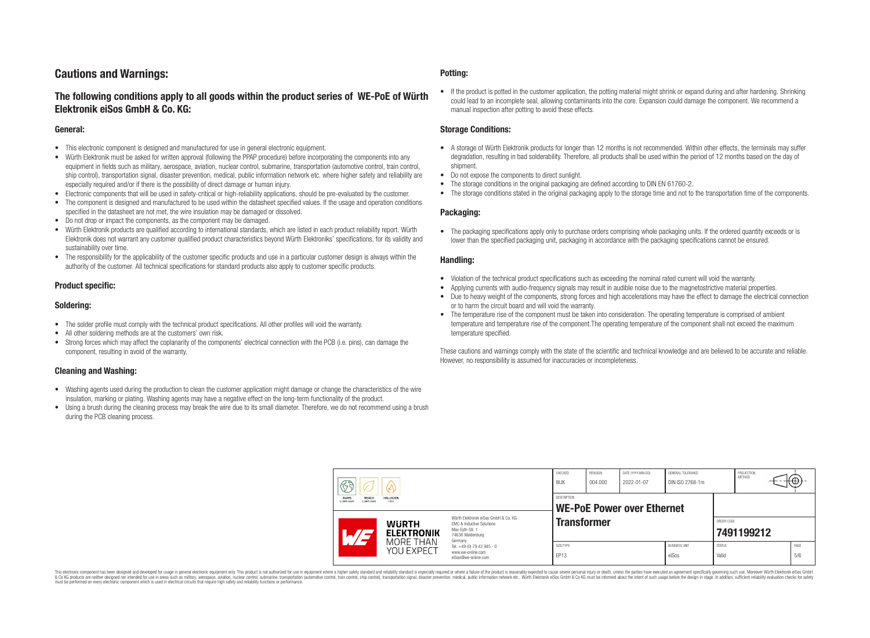## **Cautions and Warnings:**

## **The following conditions apply to all goods within the product series of WE-PoE of Würth Elektronik eiSos GmbH & Co. KG:**

#### **General:**

- This electronic component is designed and manufactured for use in general electronic equipment.
- Würth Elektronik must be asked for written approval (following the PPAP procedure) before incorporating the components into any equipment in fields such as military, aerospace, aviation, nuclear control, submarine, transportation (automotive control, train control, ship control), transportation signal, disaster prevention, medical, public information network etc. where higher safety and reliability are especially required and/or if there is the possibility of direct damage or human injury.
- Electronic components that will be used in safety-critical or high-reliability applications, should be pre-evaluated by the customer.
- The component is designed and manufactured to be used within the datasheet specified values. If the usage and operation conditions specified in the datasheet are not met, the wire insulation may be damaged or dissolved.
- Do not drop or impact the components, as the component may be damaged.
- Würth Elektronik products are qualified according to international standards, which are listed in each product reliability report. Würth Elektronik does not warrant any customer qualified product characteristics beyond Würth Elektroniks' specifications, for its validity and sustainability over time.
- The responsibility for the applicability of the customer specific products and use in a particular customer design is always within the authority of the customer. All technical specifications for standard products also apply to customer specific products.

#### **Product specific:**

#### **Soldering:**

- The solder profile must comply with the technical product specifications. All other profiles will void the warranty.
- All other soldering methods are at the customers' own risk.
- Strong forces which may affect the coplanarity of the components' electrical connection with the PCB (i.e. pins), can damage the component, resulting in avoid of the warranty.

#### **Cleaning and Washing:**

- Washing agents used during the production to clean the customer application might damage or change the characteristics of the wire insulation, marking or plating. Washing agents may have a negative effect on the long-term functionality of the product.
- Using a brush during the cleaning process may break the wire due to its small diameter. Therefore, we do not recommend using a brush during the PCB cleaning process.

#### **Potting:**

• If the product is potted in the customer application, the potting material might shrink or expand during and after hardening. Shrinking could lead to an incomplete seal, allowing contaminants into the core. Expansion could damage the component. We recommend a manual inspection after potting to avoid these effects.

#### **Storage Conditions:**

- A storage of Würth Elektronik products for longer than 12 months is not recommended. Within other effects, the terminals may suffer degradation, resulting in bad solderability. Therefore, all products shall be used within the period of 12 months based on the day of shipment.
- Do not expose the components to direct sunlight.
- The storage conditions in the original packaging are defined according to DIN EN 61760-2.
- The storage conditions stated in the original packaging apply to the storage time and not to the transportation time of the components.

#### **Packaging:**

• The packaging specifications apply only to purchase orders comprising whole packaging units. If the ordered quantity exceeds or is lower than the specified packaging unit, packaging in accordance with the packaging specifications cannot be ensured.

#### **Handling:**

- Violation of the technical product specifications such as exceeding the nominal rated current will void the warranty.
- Applying currents with audio-frequency signals may result in audible noise due to the magnetostrictive material properties.
- Due to heavy weight of the components, strong forces and high accelerations may have the effect to damage the electrical connection or to harm the circuit board and will void the warranty.
- The temperature rise of the component must be taken into consideration. The operating temperature is comprised of ambient temperature and temperature rise of the component.The operating temperature of the component shall not exceed the maximum temperature specified.

These cautions and warnings comply with the state of the scientific and technical knowledge and are believed to be accurate and reliable. However, no responsibility is assumed for inaccuracies or incompleteness.

| F<br>60. |                                                                                                                                                                     | CHECKED<br>W.JK         | <b>REVISION</b><br>004.000                                             | DATE (YYYY-MM-DD)<br>2022-01-07 | GENERAL TOLERANCE<br>DIN ISO 2768-1m |                                   | PROJECTION<br><b>METHOD</b>   | (⊕                     |  |             |
|----------|---------------------------------------------------------------------------------------------------------------------------------------------------------------------|-------------------------|------------------------------------------------------------------------|---------------------------------|--------------------------------------|-----------------------------------|-------------------------------|------------------------|--|-------------|
|          | <b>RoHS</b><br><b>REACh</b><br>COMPLIANT<br><b>COMPLIANT</b>                                                                                                        | <b>HALOGEN</b><br>FREE  |                                                                        | <b>DESCRIPTION</b>              |                                      | <b>WE-PoE Power over Ethernet</b> |                               |                        |  |             |
|          | Würth Flektronik eiSos GmbH & Co. KG<br><b>WURTH</b><br><b>EMC &amp; Inductive Solutions</b><br>Max-Evth-Str. 1<br><b>ELEKTRONIK</b><br>74638 Waldenburg<br>Germany |                         | <b>Transformer</b>                                                     |                                 |                                      |                                   | ORDER CODE                    | 7491199212             |  |             |
|          |                                                                                                                                                                     | MORE THAN<br>YOU EXPECT | Tel. +49 (0) 79 42 945 - 0<br>www.we-online.com<br>eiSos@we-online.com | SIZE/TYPE<br>EP13               |                                      |                                   | <b>BUSINESS UNIT</b><br>eiSos | <b>STATUS</b><br>Valid |  | PAGE<br>5/6 |

This electronic component has been designed and developed for usage in general electronic equipment only. This product is not authorized for use in equipment where a higher safety standard and reliability standard is espec & Ook product a label and the membed of the seasuch as marked and as which such a membed and the such assume that income in the seasuch and the simulation and the such assume that include to the such a membed and the such